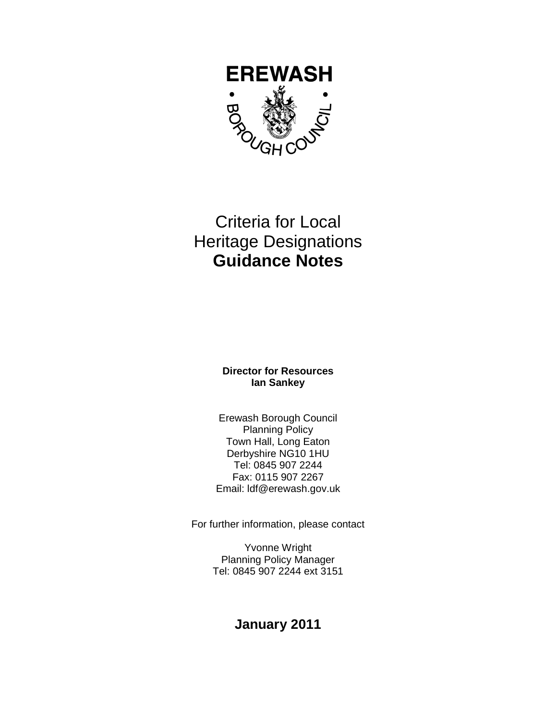

# Criteria for Local Heritage Designations **Guidance Notes**

### **Director for Resources Ian Sankey**

Erewash Borough Council Planning Policy Town Hall, Long Eaton Derbyshire NG10 1HU Tel: 0845 907 2244 Fax: 0115 907 2267 Email: ldf@erewash.gov.uk

For further information, please contact

Yvonne Wright Planning Policy Manager Tel: 0845 907 2244 ext 3151

## **January 2011**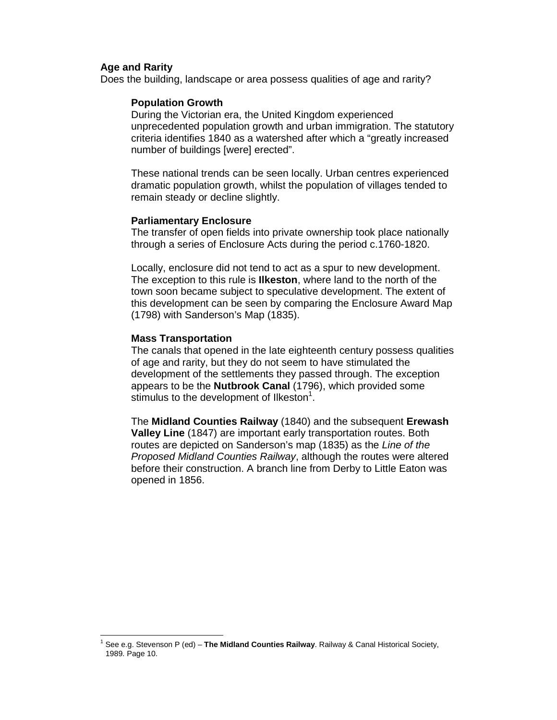#### **Age and Rarity**

Does the building, landscape or area possess qualities of age and rarity?

#### **Population Growth**

During the Victorian era, the United Kingdom experienced unprecedented population growth and urban immigration. The statutory criteria identifies 1840 as a watershed after which a "greatly increased number of buildings [were] erected".

These national trends can be seen locally. Urban centres experienced dramatic population growth, whilst the population of villages tended to remain steady or decline slightly.

#### **Parliamentary Enclosure**

The transfer of open fields into private ownership took place nationally through a series of Enclosure Acts during the period c.1760-1820.

Locally, enclosure did not tend to act as a spur to new development. The exception to this rule is **Ilkeston**, where land to the north of the town soon became subject to speculative development. The extent of this development can be seen by comparing the Enclosure Award Map (1798) with Sanderson's Map (1835).

#### **Mass Transportation**

The canals that opened in the late eighteenth century possess qualities of age and rarity, but they do not seem to have stimulated the development of the settlements they passed through. The exception appears to be the **Nutbrook Canal** (1796), which provided some stimulus to the development of Ilkeston $1$ .

The **Midland Counties Railway** (1840) and the subsequent **Erewash Valley Line** (1847) are important early transportation routes. Both routes are depicted on Sanderson's map (1835) as the Line of the Proposed Midland Counties Railway, although the routes were altered before their construction. A branch line from Derby to Little Eaton was opened in 1856.

 $\ddot{\phantom{a}}$ <sup>1</sup> See e.g. Stevenson P (ed) - **The Midland Counties Railway**. Railway & Canal Historical Society, 1989. Page 10.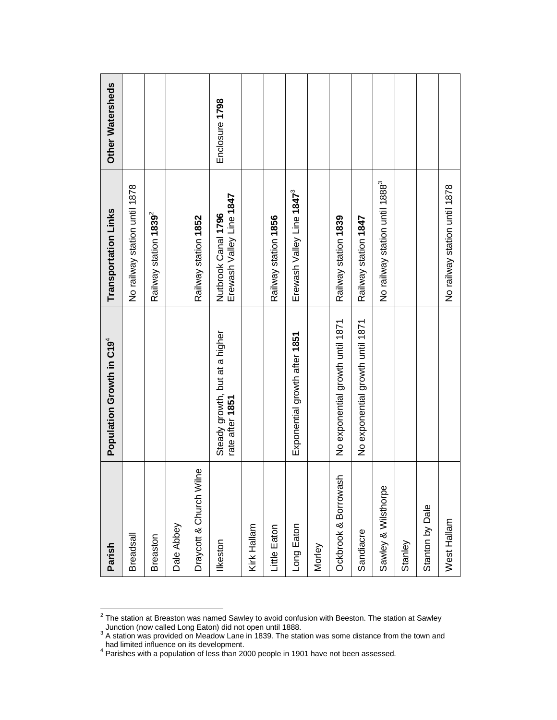| Parish                  | Population Growth in C19 <sup>4</sup>             | Transportation Links                            | Other Watersheds |
|-------------------------|---------------------------------------------------|-------------------------------------------------|------------------|
| <b>Breadsall</b>        |                                                   | No railway station until 1878                   |                  |
| Breaston                |                                                   | Railway station 1839 <sup>2</sup>               |                  |
| Dale Abbey              |                                                   |                                                 |                  |
| Draycott & Church Wilne |                                                   | Railway station 1852                            |                  |
| Ilkeston                | Steady growth, but at a higher<br>rate after 1851 | Erewash Valley Line 1847<br>Nutbrook Canal 1796 | Enclosure 1798   |
| Kirk Hallam             |                                                   |                                                 |                  |
| Little Eaton            |                                                   | Railway station 1856                            |                  |
| Long Eaton              | Exponential growth after 1851                     | Erewash Valley Line 1847 <sup>3</sup>           |                  |
| Morley                  |                                                   |                                                 |                  |
| Ockbrook & Borrowash    | No exponential growth until 1871                  | Railway station 1839                            |                  |
| Sandiacre               | No exponential growth until 1871                  | Railway station 1847                            |                  |
| Sawley & Wilsthorpe     |                                                   | No railway station until 1888 <sup>3</sup>      |                  |
| Stanley                 |                                                   |                                                 |                  |
| Stanton by Dale         |                                                   |                                                 |                  |
| West Hallam             |                                                   | No railway station until 1878                   |                  |

2 The station at Breaston was named Sawley to avoid confusion with Beeston. The station at Sawley

Junction (now called Long Eaton) did not open until 1888.<br><sup>3</sup> A station was provided on Meadow Lane in 1839. The station was some distance from the town and

had limited influence on its development.<br><sup>4</sup> Parishes with a population of less than 2000 people in 1901 have not been assessed.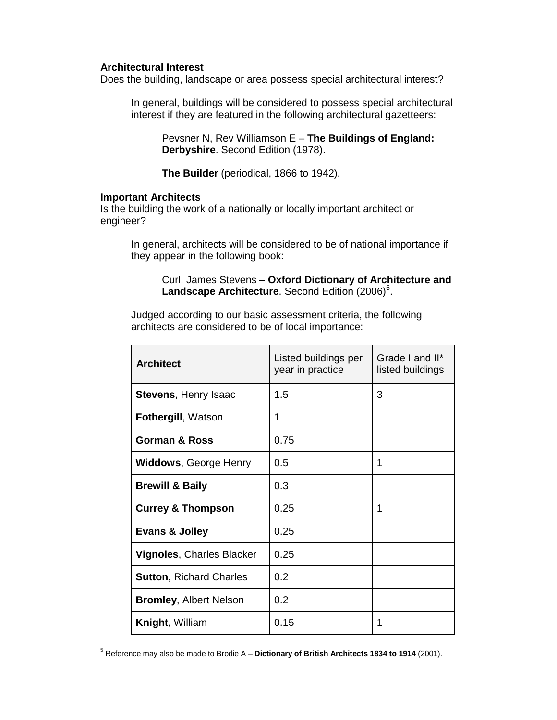#### **Architectural Interest**

Does the building, landscape or area possess special architectural interest?

In general, buildings will be considered to possess special architectural interest if they are featured in the following architectural gazetteers:

 Pevsner N, Rev Williamson E – **The Buildings of England: Derbyshire**. Second Edition (1978).

**The Builder** (periodical, 1866 to 1942).

#### **Important Architects**

Is the building the work of a nationally or locally important architect or engineer?

 In general, architects will be considered to be of national importance if they appear in the following book:

#### Curl, James Stevens – **Oxford Dictionary of Architecture and**  Landscape Architecture. Second Edition (2006)<sup>5</sup>.

Judged according to our basic assessment criteria, the following architects are considered to be of local importance:

| <b>Architect</b>               | Listed buildings per<br>year in practice | Grade I and II*<br>listed buildings |
|--------------------------------|------------------------------------------|-------------------------------------|
| Stevens, Henry Isaac           | 1.5                                      | 3                                   |
| <b>Fothergill, Watson</b>      | 1                                        |                                     |
| <b>Gorman &amp; Ross</b>       | 0.75                                     |                                     |
| <b>Widdows, George Henry</b>   | 0.5                                      | 1                                   |
| <b>Brewill &amp; Baily</b>     | 0.3                                      |                                     |
| <b>Currey &amp; Thompson</b>   | 0.25                                     | 1                                   |
| <b>Evans &amp; Jolley</b>      | 0.25                                     |                                     |
| Vignoles, Charles Blacker      | 0.25                                     |                                     |
| <b>Sutton, Richard Charles</b> | 0.2                                      |                                     |
| <b>Bromley, Albert Nelson</b>  | 0.2                                      |                                     |
| <b>Knight, William</b>         | 0.15                                     | 1                                   |

 $\overline{a}$ 5 Reference may also be made to Brodie A – **Dictionary of British Architects 1834 to 1914** (2001).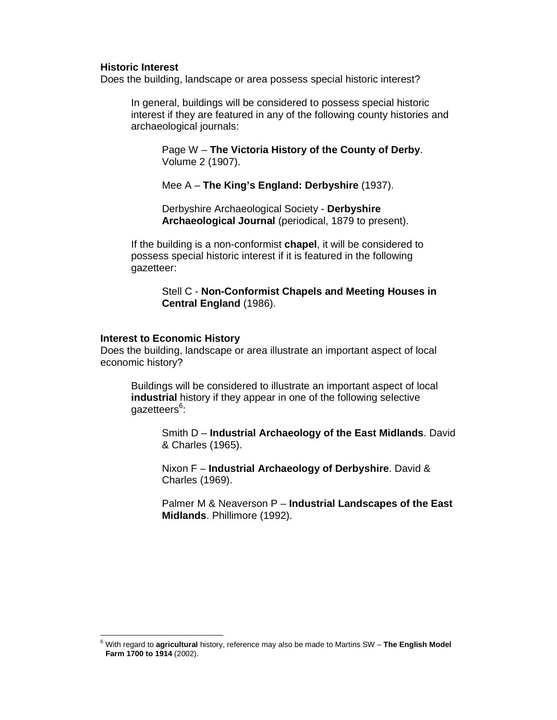#### **Historic Interest**

Does the building, landscape or area possess special historic interest?

In general, buildings will be considered to possess special historic interest if they are featured in any of the following county histories and archaeological journals:

Page W – **The Victoria History of the County of Derby**. Volume 2 (1907).

Mee A – **The King's England: Derbyshire** (1937).

Derbyshire Archaeological Society - **Derbyshire Archaeological Journal** (periodical, 1879 to present).

If the building is a non-conformist **chapel**, it will be considered to possess special historic interest if it is featured in the following gazetteer:

> Stell C - **Non-Conformist Chapels and Meeting Houses in Central England** (1986).

#### **Interest to Economic History**

Does the building, landscape or area illustrate an important aspect of local economic history?

 Buildings will be considered to illustrate an important aspect of local **industrial** history if they appear in one of the following selective gazetteers<sup>6</sup>:

Smith D – **Industrial Archaeology of the East Midlands**. David & Charles (1965).

Nixon F – **Industrial Archaeology of Derbyshire**. David & Charles (1969).

Palmer M & Neaverson P – **Industrial Landscapes of the East Midlands**. Phillimore (1992).

 6 With regard to **agricultural** history, reference may also be made to Martins SW – **The English Model Farm 1700 to 1914** (2002).